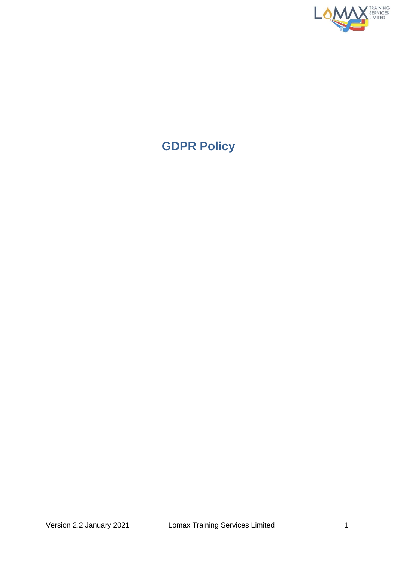

# **GDPR Policy**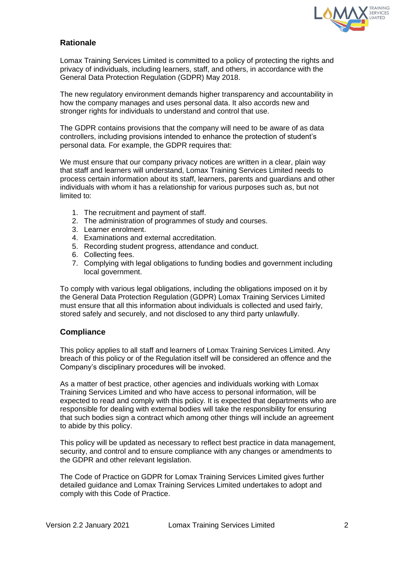

# **Rationale**

Lomax Training Services Limited is committed to a policy of protecting the rights and privacy of individuals, including learners, staff, and others, in accordance with the General Data Protection Regulation (GDPR) May 2018.

The new regulatory environment demands higher transparency and accountability in how the company manages and uses personal data. It also accords new and stronger rights for individuals to understand and control that use.

The GDPR contains provisions that the company will need to be aware of as data controllers, including provisions intended to enhance the protection of student's personal data. For example, the GDPR requires that:

We must ensure that our company privacy notices are written in a clear, plain way that staff and learners will understand, Lomax Training Services Limited needs to process certain information about its staff, learners, parents and guardians and other individuals with whom it has a relationship for various purposes such as, but not limited to:

- 1. The recruitment and payment of staff.
- 2. The administration of programmes of study and courses.
- 3. Learner enrolment.
- 4. Examinations and external accreditation.
- 5. Recording student progress, attendance and conduct.
- 6. Collecting fees.
- 7. Complying with legal obligations to funding bodies and government including local government.

To comply with various legal obligations, including the obligations imposed on it by the General Data Protection Regulation (GDPR) Lomax Training Services Limited must ensure that all this information about individuals is collected and used fairly, stored safely and securely, and not disclosed to any third party unlawfully.

# **Compliance**

This policy applies to all staff and learners of Lomax Training Services Limited. Any breach of this policy or of the Regulation itself will be considered an offence and the Company's disciplinary procedures will be invoked.

As a matter of best practice, other agencies and individuals working with Lomax Training Services Limited and who have access to personal information, will be expected to read and comply with this policy. It is expected that departments who are responsible for dealing with external bodies will take the responsibility for ensuring that such bodies sign a contract which among other things will include an agreement to abide by this policy.

This policy will be updated as necessary to reflect best practice in data management, security, and control and to ensure compliance with any changes or amendments to the GDPR and other relevant legislation.

The Code of Practice on GDPR for Lomax Training Services Limited gives further detailed guidance and Lomax Training Services Limited undertakes to adopt and comply with this Code of Practice.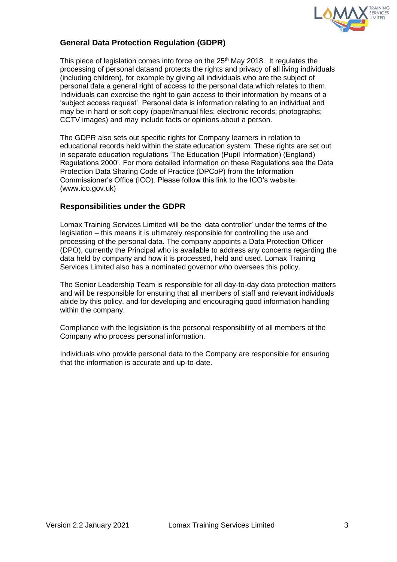

# **General Data Protection Regulation (GDPR)**

This piece of legislation comes into force on the 25<sup>th</sup> May 2018. It regulates the processing of personal dataand protects the rights and privacy of all living individuals (including children), for example by giving all individuals who are the subject of personal data a general right of access to the personal data which relates to them. Individuals can exercise the right to gain access to their information by means of a 'subject access request'. Personal data is information relating to an individual and may be in hard or soft copy (paper/manual files; electronic records; photographs; CCTV images) and may include facts or opinions about a person.

The GDPR also sets out specific rights for Company learners in relation to educational records held within the state education system. These rights are set out in separate education regulations 'The Education (Pupil Information) (England) Regulations 2000'. For more detailed information on these Regulations see the Data Protection Data Sharing Code of Practice (DPCoP) from the Information Commissioner's Office (ICO). Please follow this link to the ICO's website (www.ico.gov.uk)

# **Responsibilities under the GDPR**

Lomax Training Services Limited will be the 'data controller' under the terms of the legislation – this means it is ultimately responsible for controlling the use and processing of the personal data. The company appoints a Data Protection Officer (DPO), currently the Principal who is available to address any concerns regarding the data held by company and how it is processed, held and used. Lomax Training Services Limited also has a nominated governor who oversees this policy.

The Senior Leadership Team is responsible for all day-to-day data protection matters and will be responsible for ensuring that all members of staff and relevant individuals abide by this policy, and for developing and encouraging good information handling within the company.

Compliance with the legislation is the personal responsibility of all members of the Company who process personal information.

Individuals who provide personal data to the Company are responsible for ensuring that the information is accurate and up-to-date.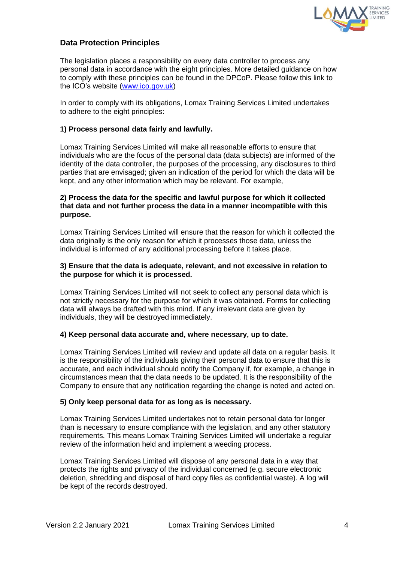

# **Data Protection Principles**

The legislation places a responsibility on every data controller to process any personal data in accordance with the eight principles. More detailed guidance on how to comply with these principles can be found in the DPCoP. Please follow this link to the ICO's website [\(www.ico.gov.uk\)](http://www.ico.gov.uk/)

In order to comply with its obligations, Lomax Training Services Limited undertakes to adhere to the eight principles:

### **1) Process personal data fairly and lawfully.**

Lomax Training Services Limited will make all reasonable efforts to ensure that individuals who are the focus of the personal data (data subjects) are informed of the identity of the data controller, the purposes of the processing, any disclosures to third parties that are envisaged; given an indication of the period for which the data will be kept, and any other information which may be relevant. For example,

#### **2) Process the data for the specific and lawful purpose for which it collected that data and not further process the data in a manner incompatible with this purpose.**

Lomax Training Services Limited will ensure that the reason for which it collected the data originally is the only reason for which it processes those data, unless the individual is informed of any additional processing before it takes place.

#### **3) Ensure that the data is adequate, relevant, and not excessive in relation to the purpose for which it is processed.**

Lomax Training Services Limited will not seek to collect any personal data which is not strictly necessary for the purpose for which it was obtained. Forms for collecting data will always be drafted with this mind. If any irrelevant data are given by individuals, they will be destroyed immediately.

#### **4) Keep personal data accurate and, where necessary, up to date.**

Lomax Training Services Limited will review and update all data on a regular basis. It is the responsibility of the individuals giving their personal data to ensure that this is accurate, and each individual should notify the Company if, for example, a change in circumstances mean that the data needs to be updated. It is the responsibility of the Company to ensure that any notification regarding the change is noted and acted on.

#### **5) Only keep personal data for as long as is necessary.**

Lomax Training Services Limited undertakes not to retain personal data for longer than is necessary to ensure compliance with the legislation, and any other statutory requirements. This means Lomax Training Services Limited will undertake a regular review of the information held and implement a weeding process.

Lomax Training Services Limited will dispose of any personal data in a way that protects the rights and privacy of the individual concerned (e.g. secure electronic deletion, shredding and disposal of hard copy files as confidential waste). A log will be kept of the records destroyed.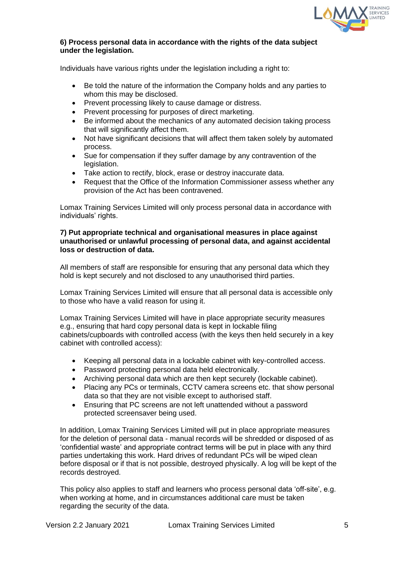

#### **6) Process personal data in accordance with the rights of the data subject under the legislation.**

Individuals have various rights under the legislation including a right to:

- Be told the nature of the information the Company holds and any parties to whom this may be disclosed.
- Prevent processing likely to cause damage or distress.
- Prevent processing for purposes of direct marketing.
- Be informed about the mechanics of any automated decision taking process that will significantly affect them.
- Not have significant decisions that will affect them taken solely by automated process.
- Sue for compensation if they suffer damage by any contravention of the legislation.
- Take action to rectify, block, erase or destroy inaccurate data.
- Request that the Office of the Information Commissioner assess whether any provision of the Act has been contravened.

Lomax Training Services Limited will only process personal data in accordance with individuals' rights.

#### **7) Put appropriate technical and organisational measures in place against unauthorised or unlawful processing of personal data, and against accidental loss or destruction of data.**

All members of staff are responsible for ensuring that any personal data which they hold is kept securely and not disclosed to any unauthorised third parties.

Lomax Training Services Limited will ensure that all personal data is accessible only to those who have a valid reason for using it.

Lomax Training Services Limited will have in place appropriate security measures e.g., ensuring that hard copy personal data is kept in lockable filing cabinets/cupboards with controlled access (with the keys then held securely in a key cabinet with controlled access):

- Keeping all personal data in a lockable cabinet with key-controlled access.
- Password protecting personal data held electronically.
- Archiving personal data which are then kept securely (lockable cabinet).
- Placing any PCs or terminals, CCTV camera screens etc. that show personal data so that they are not visible except to authorised staff.
- Ensuring that PC screens are not left unattended without a password protected screensaver being used.

In addition, Lomax Training Services Limited will put in place appropriate measures for the deletion of personal data - manual records will be shredded or disposed of as 'confidential waste' and appropriate contract terms will be put in place with any third parties undertaking this work. Hard drives of redundant PCs will be wiped clean before disposal or if that is not possible, destroyed physically. A log will be kept of the records destroyed.

This policy also applies to staff and learners who process personal data 'off-site', e.g. when working at home, and in circumstances additional care must be taken regarding the security of the data.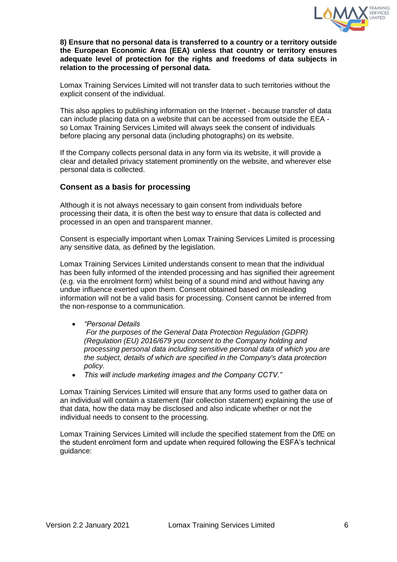

**8) Ensure that no personal data is transferred to a country or a territory outside the European Economic Area (EEA) unless that country or territory ensures adequate level of protection for the rights and freedoms of data subjects in relation to the processing of personal data.** 

Lomax Training Services Limited will not transfer data to such territories without the explicit consent of the individual.

This also applies to publishing information on the Internet - because transfer of data can include placing data on a website that can be accessed from outside the EEA so Lomax Training Services Limited will always seek the consent of individuals before placing any personal data (including photographs) on its website.

If the Company collects personal data in any form via its website, it will provide a clear and detailed privacy statement prominently on the website, and wherever else personal data is collected.

## **Consent as a basis for processing**

Although it is not always necessary to gain consent from individuals before processing their data, it is often the best way to ensure that data is collected and processed in an open and transparent manner.

Consent is especially important when Lomax Training Services Limited is processing any sensitive data, as defined by the legislation.

Lomax Training Services Limited understands consent to mean that the individual has been fully informed of the intended processing and has signified their agreement (e.g. via the enrolment form) whilst being of a sound mind and without having any undue influence exerted upon them. Consent obtained based on misleading information will not be a valid basis for processing. Consent cannot be inferred from the non-response to a communication.

## • *"Personal Details*

*For the purposes of the General Data Protection Regulation (GDPR) (Regulation (EU) 2016/679 you consent to the Company holding and processing personal data including sensitive personal data of which you are the subject, details of which are specified in the Company's data protection policy.* 

• *This will include marketing images and the Company CCTV."* 

Lomax Training Services Limited will ensure that any forms used to gather data on an individual will contain a statement (fair collection statement) explaining the use of that data, how the data may be disclosed and also indicate whether or not the individual needs to consent to the processing.

Lomax Training Services Limited will include the specified statement from the DfE on the student enrolment form and update when required following the ESFA's technical guidance: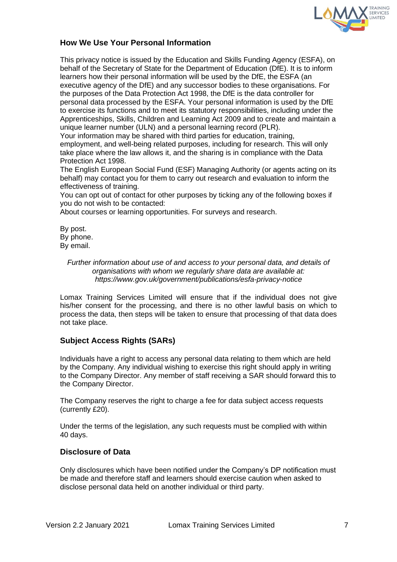

## **How We Use Your Personal Information**

This privacy notice is issued by the Education and Skills Funding Agency (ESFA), on behalf of the Secretary of State for the Department of Education (DfE). It is to inform learners how their personal information will be used by the DfE, the ESFA (an executive agency of the DfE) and any successor bodies to these organisations. For the purposes of the Data Protection Act 1998, the DfE is the data controller for personal data processed by the ESFA. Your personal information is used by the DfE to exercise its functions and to meet its statutory responsibilities, including under the Apprenticeships, Skills, Children and Learning Act 2009 and to create and maintain a unique learner number (ULN) and a personal learning record (PLR).

Your information may be shared with third parties for education, training, employment, and well-being related purposes, including for research. This will only take place where the law allows it, and the sharing is in compliance with the Data Protection Act 1998.

The English European Social Fund (ESF) Managing Authority (or agents acting on its behalf) may contact you for them to carry out research and evaluation to inform the effectiveness of training.

You can opt out of contact for other purposes by ticking any of the following boxes if you do not wish to be contacted:

About courses or learning opportunities. For surveys and research.

By post. By phone. By email.

#### *Further information about use of and access to your personal data, and details of organisations with whom we regularly share data are available at: https://www.gov.uk/government/publications/esfa-privacy-notice*

Lomax Training Services Limited will ensure that if the individual does not give his/her consent for the processing, and there is no other lawful basis on which to process the data, then steps will be taken to ensure that processing of that data does not take place.

## **Subject Access Rights (SARs)**

Individuals have a right to access any personal data relating to them which are held by the Company. Any individual wishing to exercise this right should apply in writing to the Company Director. Any member of staff receiving a SAR should forward this to the Company Director.

The Company reserves the right to charge a fee for data subject access requests (currently £20).

Under the terms of the legislation, any such requests must be complied with within 40 days.

## **Disclosure of Data**

Only disclosures which have been notified under the Company's DP notification must be made and therefore staff and learners should exercise caution when asked to disclose personal data held on another individual or third party.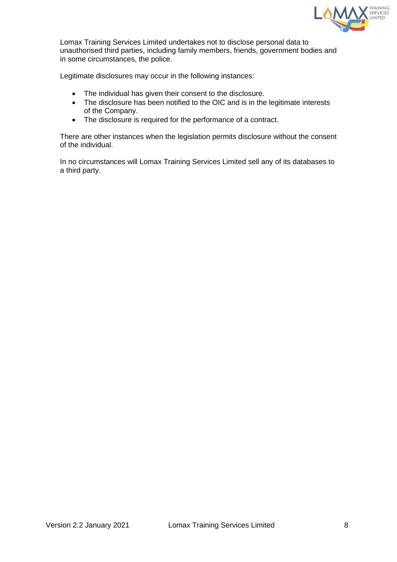

Lomax Training Services Limited undertakes not to disclose personal data to unauthorised third parties, including family members, friends, government bodies and in some circumstances, the police.

Legitimate disclosures may occur in the following instances:

- The individual has given their consent to the disclosure.
- The disclosure has been notified to the OIC and is in the legitimate interests of the Company.
- The disclosure is required for the performance of a contract.

There are other instances when the legislation permits disclosure without the consent of the individual.

In no circumstances will Lomax Training Services Limited sell any of its databases to a third party.